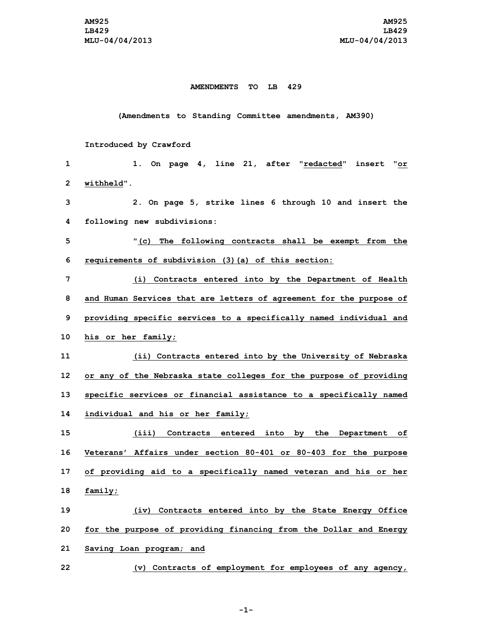## **AMENDMENTS TO LB 429**

## **(Amendments to Standing Committee amendments, AM390)**

## **Introduced by Crawford**

| 1            | 1. On page 4, line 21, after "redacted" insert "or                  |
|--------------|---------------------------------------------------------------------|
| $\mathbf{2}$ | withheld".                                                          |
| 3            | 2. On page 5, strike lines 6 through 10 and insert the              |
| 4            | following new subdivisions:                                         |
| 5            | "(c) The following contracts shall be exempt from the               |
| 6            | requirements of subdivision (3) (a) of this section:                |
| 7            | (i) Contracts entered into by the Department of Health              |
| 8            | and Human Services that are letters of agreement for the purpose of |
| 9            | providing specific services to a specifically named individual and  |
| 10           | his or her family;                                                  |
| 11           | (ii) Contracts entered into by the University of Nebraska           |
| 12           | or any of the Nebraska state colleges for the purpose of providing  |
| 13           | specific services or financial assistance to a specifically named   |
| 14           | individual and his or her family;                                   |
| 15           | (iii) Contracts entered into by the Department of                   |
| 16           | Veterans' Affairs under section 80-401 or 80-403 for the purpose    |
| 17           | of providing aid to a specifically named veteran and his or her     |
| 18           | family;                                                             |
| 19           | (iv) Contracts entered into by the State Energy Office              |
| 20           | for the purpose of providing financing from the Dollar and Energy   |
| 21           | Saving Loan program; and                                            |
| 22           | (v) Contracts of employment for employees of any agency,            |

**-1-**